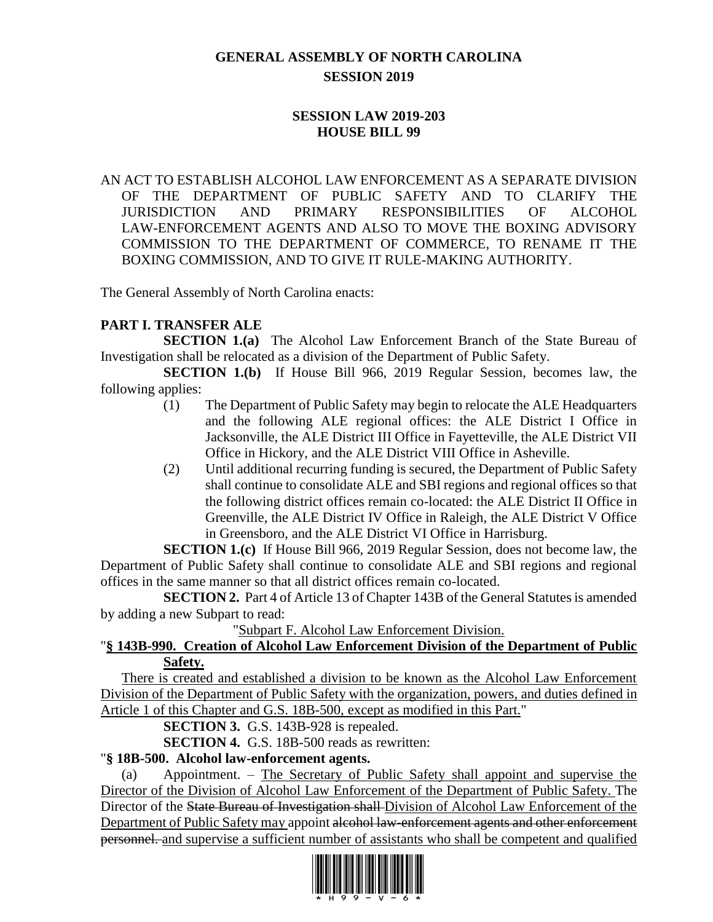# **GENERAL ASSEMBLY OF NORTH CAROLINA SESSION 2019**

# **SESSION LAW 2019-203 HOUSE BILL 99**

AN ACT TO ESTABLISH ALCOHOL LAW ENFORCEMENT AS A SEPARATE DIVISION OF THE DEPARTMENT OF PUBLIC SAFETY AND TO CLARIFY THE JURISDICTION AND PRIMARY RESPONSIBILITIES OF ALCOHOL LAW-ENFORCEMENT AGENTS AND ALSO TO MOVE THE BOXING ADVISORY COMMISSION TO THE DEPARTMENT OF COMMERCE, TO RENAME IT THE BOXING COMMISSION, AND TO GIVE IT RULE-MAKING AUTHORITY.

The General Assembly of North Carolina enacts:

# **PART I. TRANSFER ALE**

**SECTION 1.(a)** The Alcohol Law Enforcement Branch of the State Bureau of Investigation shall be relocated as a division of the Department of Public Safety.

**SECTION 1.(b)** If House Bill 966, 2019 Regular Session, becomes law, the following applies:

- (1) The Department of Public Safety may begin to relocate the ALE Headquarters and the following ALE regional offices: the ALE District I Office in Jacksonville, the ALE District III Office in Fayetteville, the ALE District VII Office in Hickory, and the ALE District VIII Office in Asheville.
- (2) Until additional recurring funding is secured, the Department of Public Safety shall continue to consolidate ALE and SBI regions and regional offices so that the following district offices remain co-located: the ALE District II Office in Greenville, the ALE District IV Office in Raleigh, the ALE District V Office in Greensboro, and the ALE District VI Office in Harrisburg.

**SECTION 1.(c)** If House Bill 966, 2019 Regular Session, does not become law, the Department of Public Safety shall continue to consolidate ALE and SBI regions and regional offices in the same manner so that all district offices remain co-located.

**SECTION 2.** Part 4 of Article 13 of Chapter 143B of the General Statutes is amended by adding a new Subpart to read:

"Subpart F. Alcohol Law Enforcement Division.

### "**§ 143B-990. Creation of Alcohol Law Enforcement Division of the Department of Public Safety.**

There is created and established a division to be known as the Alcohol Law Enforcement Division of the Department of Public Safety with the organization, powers, and duties defined in Article 1 of this Chapter and G.S. 18B-500, except as modified in this Part."

**SECTION 3.** G.S. 143B-928 is repealed.

**SECTION 4.** G.S. 18B-500 reads as rewritten:

### "**§ 18B-500. Alcohol law-enforcement agents.**

(a) Appointment. – The Secretary of Public Safety shall appoint and supervise the Director of the Division of Alcohol Law Enforcement of the Department of Public Safety. The Director of the State Bureau of Investigation shall Division of Alcohol Law Enforcement of the Department of Public Safety may appoint <del>alcohol law-enforcement agents and other enforcement</del> personnel. and supervise a sufficient number of assistants who shall be competent and qualified

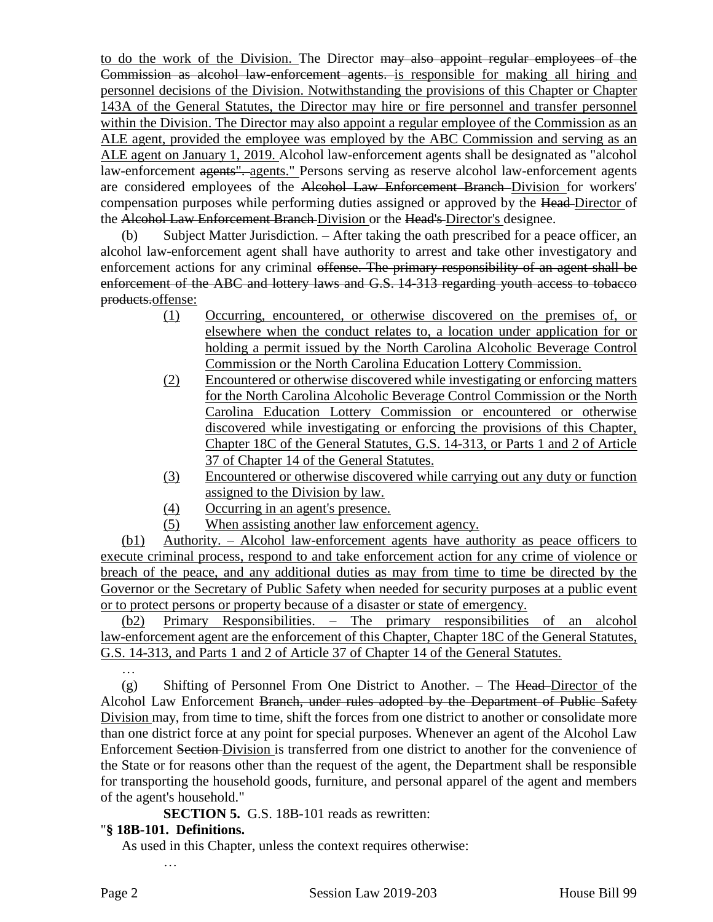to do the work of the Division. The Director may also appoint regular employees of the Commission as alcohol law-enforcement agents. is responsible for making all hiring and personnel decisions of the Division. Notwithstanding the provisions of this Chapter or Chapter 143A of the General Statutes, the Director may hire or fire personnel and transfer personnel within the Division. The Director may also appoint a regular employee of the Commission as an ALE agent, provided the employee was employed by the ABC Commission and serving as an ALE agent on January 1, 2019. Alcohol law-enforcement agents shall be designated as "alcohol law-enforcement agents". agents." Persons serving as reserve alcohol law-enforcement agents are considered employees of the Alcohol Law Enforcement Branch Division for workers' compensation purposes while performing duties assigned or approved by the Head Director of the Alcohol Law Enforcement Branch Division or the Head's Director's designee.

(b) Subject Matter Jurisdiction. – After taking the oath prescribed for a peace officer, an alcohol law-enforcement agent shall have authority to arrest and take other investigatory and enforcement actions for any criminal offense. The primary responsibility of an agent shall be enforcement of the ABC and lottery laws and G.S. 14-313 regarding youth access to tobacco products.offense:

- (1) Occurring, encountered, or otherwise discovered on the premises of, or elsewhere when the conduct relates to, a location under application for or holding a permit issued by the North Carolina Alcoholic Beverage Control Commission or the North Carolina Education Lottery Commission.
- (2) Encountered or otherwise discovered while investigating or enforcing matters for the North Carolina Alcoholic Beverage Control Commission or the North Carolina Education Lottery Commission or encountered or otherwise discovered while investigating or enforcing the provisions of this Chapter, Chapter 18C of the General Statutes, G.S. 14-313, or Parts 1 and 2 of Article 37 of Chapter 14 of the General Statutes.
- (3) Encountered or otherwise discovered while carrying out any duty or function assigned to the Division by law.
- (4) Occurring in an agent's presence.
- (5) When assisting another law enforcement agency.

(b1) Authority. – Alcohol law-enforcement agents have authority as peace officers to execute criminal process, respond to and take enforcement action for any crime of violence or breach of the peace, and any additional duties as may from time to time be directed by the Governor or the Secretary of Public Safety when needed for security purposes at a public event or to protect persons or property because of a disaster or state of emergency.

(b2) Primary Responsibilities. – The primary responsibilities of an alcohol law-enforcement agent are the enforcement of this Chapter, Chapter 18C of the General Statutes, G.S. 14-313, and Parts 1 and 2 of Article 37 of Chapter 14 of the General Statutes.

 $(g)$  Shifting of Personnel From One District to Another. – The Head-Director of the Alcohol Law Enforcement Branch, under rules adopted by the Department of Public Safety Division may, from time to time, shift the forces from one district to another or consolidate more than one district force at any point for special purposes. Whenever an agent of the Alcohol Law Enforcement Section Division is transferred from one district to another for the convenience of the State or for reasons other than the request of the agent, the Department shall be responsible for transporting the household goods, furniture, and personal apparel of the agent and members of the agent's household."

**SECTION 5.** G.S. 18B-101 reads as rewritten:

# "**§ 18B-101. Definitions.**

…

As used in this Chapter, unless the context requires otherwise:

…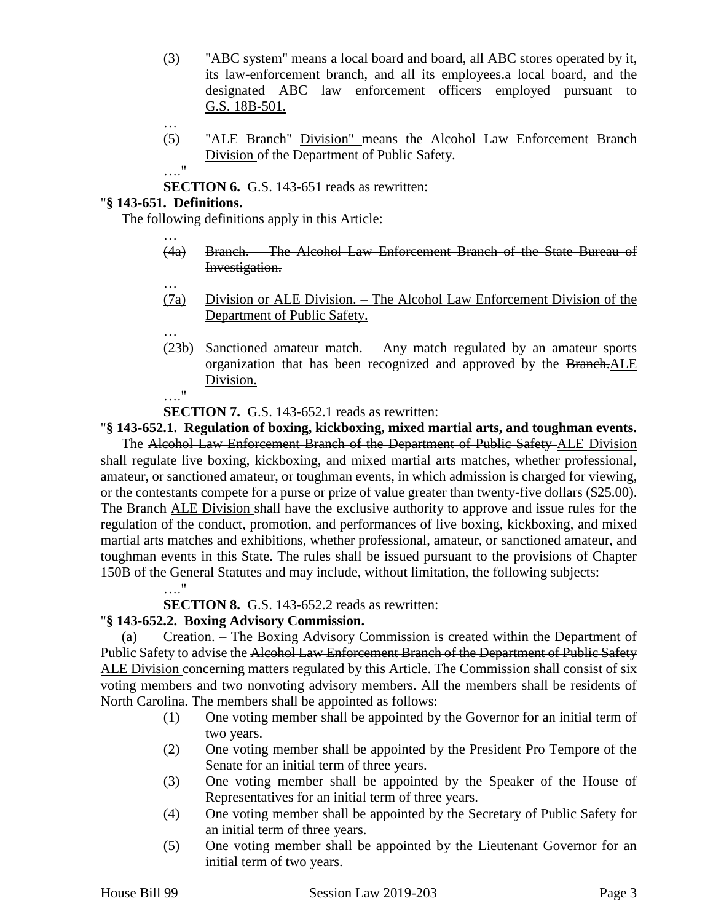- (3) "ABC system" means a local board and board, all ABC stores operated by  $\frac{1}{k_1}$ its law-enforcement branch, and all its employees.a local board, and the designated ABC law enforcement officers employed pursuant to G.S. 18B-501.
- …
- (5) "ALE Branch" Division" means the Alcohol Law Enforcement Branch Division of the Department of Public Safety.

**SECTION 6.** G.S. 143-651 reads as rewritten:

### "**§ 143-651. Definitions.**

…

…

The following definitions apply in this Article:

- (4a) Branch. The Alcohol Law Enforcement Branch of the State Bureau of Investigation.
- (7a) Division or ALE Division. The Alcohol Law Enforcement Division of the Department of Public Safety.
- … (23b) Sanctioned amateur match. – Any match regulated by an amateur sports organization that has been recognized and approved by the Branch. ALE Division. …."

### **SECTION 7.** G.S. 143-652.1 reads as rewritten:

"**§ 143-652.1. Regulation of boxing, kickboxing, mixed martial arts, and toughman events.**

The Alcohol Law Enforcement Branch of the Department of Public Safety ALE Division shall regulate live boxing, kickboxing, and mixed martial arts matches, whether professional, amateur, or sanctioned amateur, or toughman events, in which admission is charged for viewing, or the contestants compete for a purse or prize of value greater than twenty-five dollars (\$25.00). The Branch ALE Division shall have the exclusive authority to approve and issue rules for the regulation of the conduct, promotion, and performances of live boxing, kickboxing, and mixed martial arts matches and exhibitions, whether professional, amateur, or sanctioned amateur, and toughman events in this State. The rules shall be issued pursuant to the provisions of Chapter 150B of the General Statutes and may include, without limitation, the following subjects:

…."

**SECTION 8.** G.S. 143-652.2 reads as rewritten:

### "**§ 143-652.2. Boxing Advisory Commission.**

(a) Creation. – The Boxing Advisory Commission is created within the Department of Public Safety to advise the Alcohol Law Enforcement Branch of the Department of Public Safety ALE Division concerning matters regulated by this Article. The Commission shall consist of six voting members and two nonvoting advisory members. All the members shall be residents of North Carolina. The members shall be appointed as follows:

- (1) One voting member shall be appointed by the Governor for an initial term of two years.
- (2) One voting member shall be appointed by the President Pro Tempore of the Senate for an initial term of three years.
- (3) One voting member shall be appointed by the Speaker of the House of Representatives for an initial term of three years.
- (4) One voting member shall be appointed by the Secretary of Public Safety for an initial term of three years.
- (5) One voting member shall be appointed by the Lieutenant Governor for an initial term of two years.

<sup>….&</sup>quot;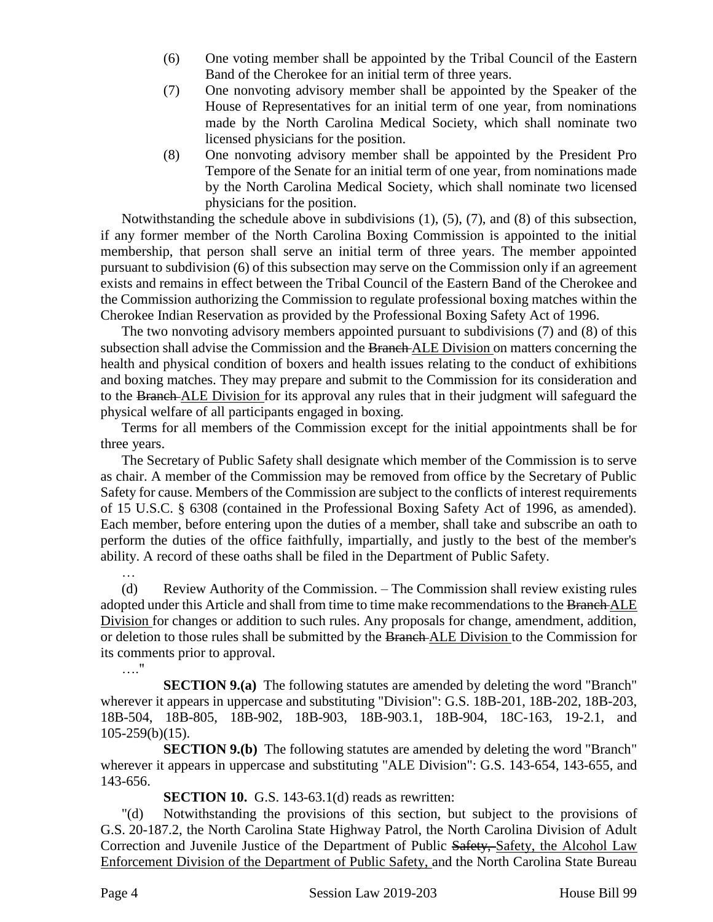- (6) One voting member shall be appointed by the Tribal Council of the Eastern Band of the Cherokee for an initial term of three years.
- (7) One nonvoting advisory member shall be appointed by the Speaker of the House of Representatives for an initial term of one year, from nominations made by the North Carolina Medical Society, which shall nominate two licensed physicians for the position.
- (8) One nonvoting advisory member shall be appointed by the President Pro Tempore of the Senate for an initial term of one year, from nominations made by the North Carolina Medical Society, which shall nominate two licensed physicians for the position.

Notwithstanding the schedule above in subdivisions (1), (5), (7), and (8) of this subsection, if any former member of the North Carolina Boxing Commission is appointed to the initial membership, that person shall serve an initial term of three years. The member appointed pursuant to subdivision (6) of this subsection may serve on the Commission only if an agreement exists and remains in effect between the Tribal Council of the Eastern Band of the Cherokee and the Commission authorizing the Commission to regulate professional boxing matches within the Cherokee Indian Reservation as provided by the Professional Boxing Safety Act of 1996.

The two nonvoting advisory members appointed pursuant to subdivisions (7) and (8) of this subsection shall advise the Commission and the Branch ALE Division on matters concerning the health and physical condition of boxers and health issues relating to the conduct of exhibitions and boxing matches. They may prepare and submit to the Commission for its consideration and to the Branch ALE Division for its approval any rules that in their judgment will safeguard the physical welfare of all participants engaged in boxing.

Terms for all members of the Commission except for the initial appointments shall be for three years.

The Secretary of Public Safety shall designate which member of the Commission is to serve as chair. A member of the Commission may be removed from office by the Secretary of Public Safety for cause. Members of the Commission are subject to the conflicts of interest requirements of 15 U.S.C. § 6308 (contained in the Professional Boxing Safety Act of 1996, as amended). Each member, before entering upon the duties of a member, shall take and subscribe an oath to perform the duties of the office faithfully, impartially, and justly to the best of the member's ability. A record of these oaths shall be filed in the Department of Public Safety.

(d) Review Authority of the Commission. – The Commission shall review existing rules adopted under this Article and shall from time to time make recommendations to the Branch ALE Division for changes or addition to such rules. Any proposals for change, amendment, addition, or deletion to those rules shall be submitted by the Branch ALE Division to the Commission for its comments prior to approval.

**SECTION 9.(a)** The following statutes are amended by deleting the word "Branch" wherever it appears in uppercase and substituting "Division": G.S. 18B-201, 18B-202, 18B-203, 18B-504, 18B-805, 18B-902, 18B-903, 18B-903.1, 18B-904, 18C-163, 19-2.1, and 105-259(b)(15).

**SECTION 9.(b)** The following statutes are amended by deleting the word "Branch" wherever it appears in uppercase and substituting "ALE Division": G.S. 143-654, 143-655, and 143-656.

**SECTION 10.** G.S. 143-63.1(d) reads as rewritten:

"(d) Notwithstanding the provisions of this section, but subject to the provisions of G.S. 20-187.2, the North Carolina State Highway Patrol, the North Carolina Division of Adult Correction and Juvenile Justice of the Department of Public Safety, Safety, the Alcohol Law Enforcement Division of the Department of Public Safety, and the North Carolina State Bureau

…

…."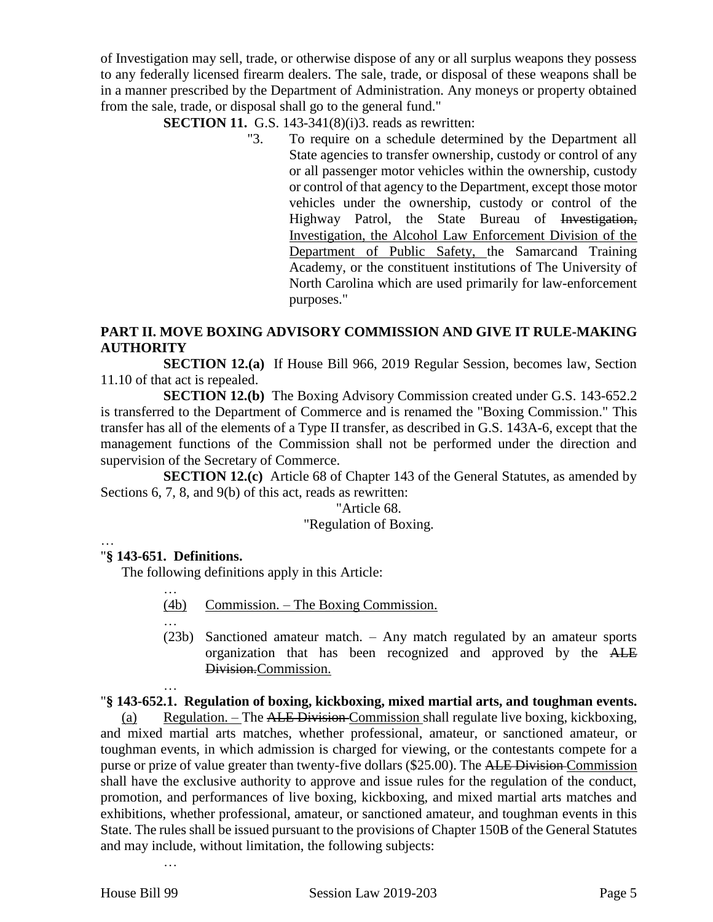of Investigation may sell, trade, or otherwise dispose of any or all surplus weapons they possess to any federally licensed firearm dealers. The sale, trade, or disposal of these weapons shall be in a manner prescribed by the Department of Administration. Any moneys or property obtained from the sale, trade, or disposal shall go to the general fund."

**SECTION 11.** G.S. 143-341(8)(i)3. reads as rewritten:

"3. To require on a schedule determined by the Department all State agencies to transfer ownership, custody or control of any or all passenger motor vehicles within the ownership, custody or control of that agency to the Department, except those motor vehicles under the ownership, custody or control of the Highway Patrol, the State Bureau of Investigation, Investigation, the Alcohol Law Enforcement Division of the Department of Public Safety, the Samarcand Training Academy, or the constituent institutions of The University of North Carolina which are used primarily for law-enforcement purposes."

# **PART II. MOVE BOXING ADVISORY COMMISSION AND GIVE IT RULE-MAKING AUTHORITY**

**SECTION 12.(a)** If House Bill 966, 2019 Regular Session, becomes law, Section 11.10 of that act is repealed.

**SECTION 12.(b)** The Boxing Advisory Commission created under G.S. 143-652.2 is transferred to the Department of Commerce and is renamed the "Boxing Commission." This transfer has all of the elements of a Type II transfer, as described in G.S. 143A-6, except that the management functions of the Commission shall not be performed under the direction and supervision of the Secretary of Commerce.

**SECTION 12.(c)** Article 68 of Chapter 143 of the General Statutes, as amended by Sections 6, 7, 8, and 9(b) of this act, reads as rewritten:

#### "Article 68.

#### "Regulation of Boxing.

…

### "**§ 143-651. Definitions.**

The following definitions apply in this Article:

- (4b) Commission. The Boxing Commission.
- …

…

…

…

(23b) Sanctioned amateur match. – Any match regulated by an amateur sports organization that has been recognized and approved by the ALE Division.Commission.

### "**§ 143-652.1. Regulation of boxing, kickboxing, mixed martial arts, and toughman events.**

(a) Regulation. – The ALE Division Commission shall regulate live boxing, kickboxing, and mixed martial arts matches, whether professional, amateur, or sanctioned amateur, or toughman events, in which admission is charged for viewing, or the contestants compete for a purse or prize of value greater than twenty-five dollars (\$25.00). The ALE Division Commission shall have the exclusive authority to approve and issue rules for the regulation of the conduct, promotion, and performances of live boxing, kickboxing, and mixed martial arts matches and exhibitions, whether professional, amateur, or sanctioned amateur, and toughman events in this State. The rules shall be issued pursuant to the provisions of Chapter 150B of the General Statutes and may include, without limitation, the following subjects: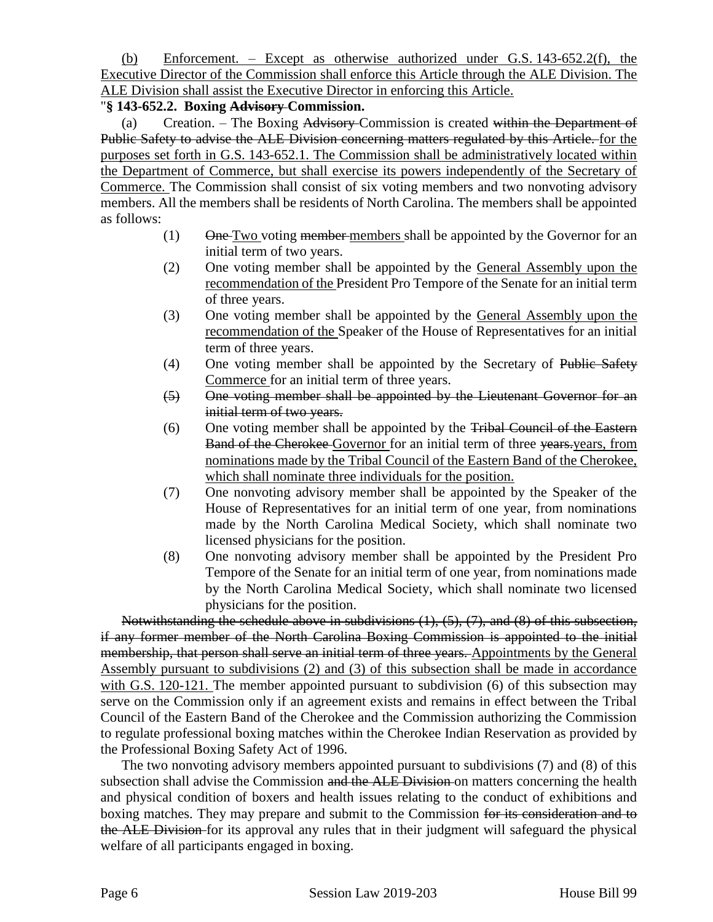(b) Enforcement. – Except as otherwise authorized under G.S. 143-652.2(f), the Executive Director of the Commission shall enforce this Article through the ALE Division. The ALE Division shall assist the Executive Director in enforcing this Article.

### "**§ 143-652.2. Boxing Advisory Commission.**

(a) Creation. – The Boxing Advisory Commission is created within the Department of Public Safety to advise the ALE Division concerning matters regulated by this Article. for the purposes set forth in G.S. 143-652.1. The Commission shall be administratively located within the Department of Commerce, but shall exercise its powers independently of the Secretary of Commerce. The Commission shall consist of six voting members and two nonvoting advisory members. All the members shall be residents of North Carolina. The members shall be appointed as follows:

- $(1)$  One Two voting member members shall be appointed by the Governor for an initial term of two years.
- (2) One voting member shall be appointed by the General Assembly upon the recommendation of the President Pro Tempore of the Senate for an initial term of three years.
- (3) One voting member shall be appointed by the General Assembly upon the recommendation of the Speaker of the House of Representatives for an initial term of three years.
- (4) One voting member shall be appointed by the Secretary of Public Safety Commerce for an initial term of three years.
- (5) One voting member shall be appointed by the Lieutenant Governor for an initial term of two years.
- (6) One voting member shall be appointed by the Tribal Council of the Eastern Band of the Cherokee Governor for an initial term of three vears, years, from nominations made by the Tribal Council of the Eastern Band of the Cherokee, which shall nominate three individuals for the position.
- (7) One nonvoting advisory member shall be appointed by the Speaker of the House of Representatives for an initial term of one year, from nominations made by the North Carolina Medical Society, which shall nominate two licensed physicians for the position.
- (8) One nonvoting advisory member shall be appointed by the President Pro Tempore of the Senate for an initial term of one year, from nominations made by the North Carolina Medical Society, which shall nominate two licensed physicians for the position.

Notwithstanding the schedule above in subdivisions (1), (5), (7), and (8) of this subsection, if any former member of the North Carolina Boxing Commission is appointed to the initial membership, that person shall serve an initial term of three years. Appointments by the General Assembly pursuant to subdivisions (2) and (3) of this subsection shall be made in accordance with G.S. 120-121. The member appointed pursuant to subdivision (6) of this subsection may serve on the Commission only if an agreement exists and remains in effect between the Tribal Council of the Eastern Band of the Cherokee and the Commission authorizing the Commission to regulate professional boxing matches within the Cherokee Indian Reservation as provided by the Professional Boxing Safety Act of 1996.

The two nonvoting advisory members appointed pursuant to subdivisions (7) and (8) of this subsection shall advise the Commission and the ALE Division on matters concerning the health and physical condition of boxers and health issues relating to the conduct of exhibitions and boxing matches. They may prepare and submit to the Commission for its consideration and to the ALE Division-for its approval any rules that in their judgment will safeguard the physical welfare of all participants engaged in boxing.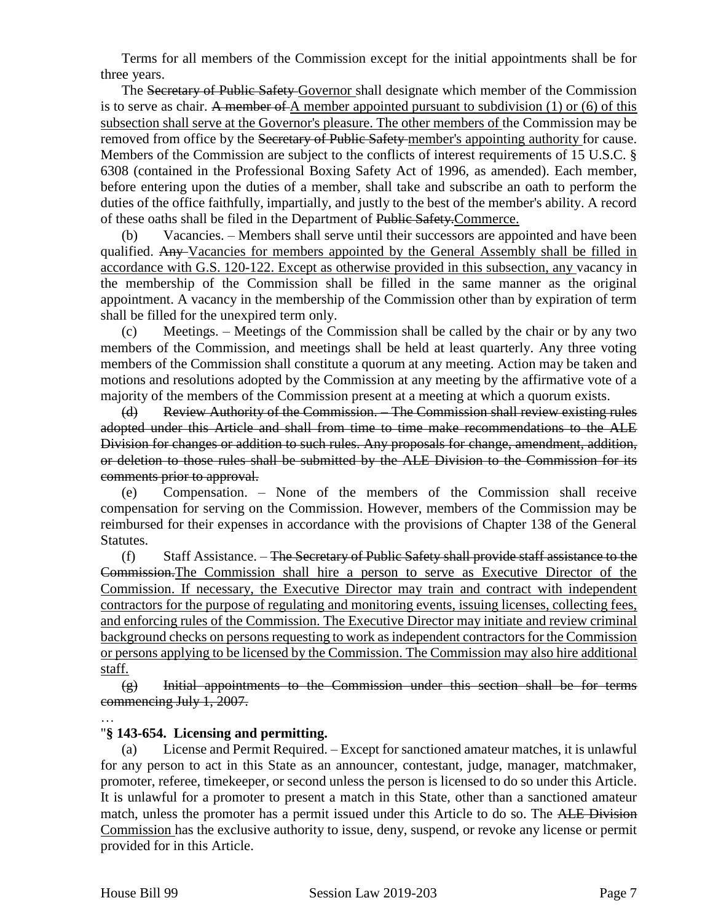Terms for all members of the Commission except for the initial appointments shall be for three years.

The Secretary of Public Safety-Governor shall designate which member of the Commission is to serve as chair. A member of A member appointed pursuant to subdivision  $(1)$  or  $(6)$  of this subsection shall serve at the Governor's pleasure. The other members of the Commission may be removed from office by the Secretary of Public Safety member's appointing authority for cause. Members of the Commission are subject to the conflicts of interest requirements of 15 U.S.C. § 6308 (contained in the Professional Boxing Safety Act of 1996, as amended). Each member, before entering upon the duties of a member, shall take and subscribe an oath to perform the duties of the office faithfully, impartially, and justly to the best of the member's ability. A record of these oaths shall be filed in the Department of Public Safety.Commerce.

(b) Vacancies. – Members shall serve until their successors are appointed and have been qualified. Any Vacancies for members appointed by the General Assembly shall be filled in accordance with G.S. 120-122. Except as otherwise provided in this subsection, any vacancy in the membership of the Commission shall be filled in the same manner as the original appointment. A vacancy in the membership of the Commission other than by expiration of term shall be filled for the unexpired term only.

(c) Meetings. – Meetings of the Commission shall be called by the chair or by any two members of the Commission, and meetings shall be held at least quarterly. Any three voting members of the Commission shall constitute a quorum at any meeting. Action may be taken and motions and resolutions adopted by the Commission at any meeting by the affirmative vote of a majority of the members of the Commission present at a meeting at which a quorum exists.

(d) Review Authority of the Commission. – The Commission shall review existing rules adopted under this Article and shall from time to time make recommendations to the ALE Division for changes or addition to such rules. Any proposals for change, amendment, addition, or deletion to those rules shall be submitted by the ALE Division to the Commission for its comments prior to approval.

(e) Compensation. – None of the members of the Commission shall receive compensation for serving on the Commission. However, members of the Commission may be reimbursed for their expenses in accordance with the provisions of Chapter 138 of the General Statutes.

(f) Staff Assistance. – The Secretary of Public Safety shall provide staff assistance to the Commission.The Commission shall hire a person to serve as Executive Director of the Commission. If necessary, the Executive Director may train and contract with independent contractors for the purpose of regulating and monitoring events, issuing licenses, collecting fees, and enforcing rules of the Commission. The Executive Director may initiate and review criminal background checks on persons requesting to work as independent contractors for the Commission or persons applying to be licensed by the Commission. The Commission may also hire additional staff.

(g) Initial appointments to the Commission under this section shall be for terms commencing July 1, 2007.

### "**§ 143-654. Licensing and permitting.**

(a) License and Permit Required. – Except for sanctioned amateur matches, it is unlawful for any person to act in this State as an announcer, contestant, judge, manager, matchmaker, promoter, referee, timekeeper, or second unless the person is licensed to do so under this Article. It is unlawful for a promoter to present a match in this State, other than a sanctioned amateur match, unless the promoter has a permit issued under this Article to do so. The ALE Division Commission has the exclusive authority to issue, deny, suspend, or revoke any license or permit provided for in this Article.

<sup>…</sup>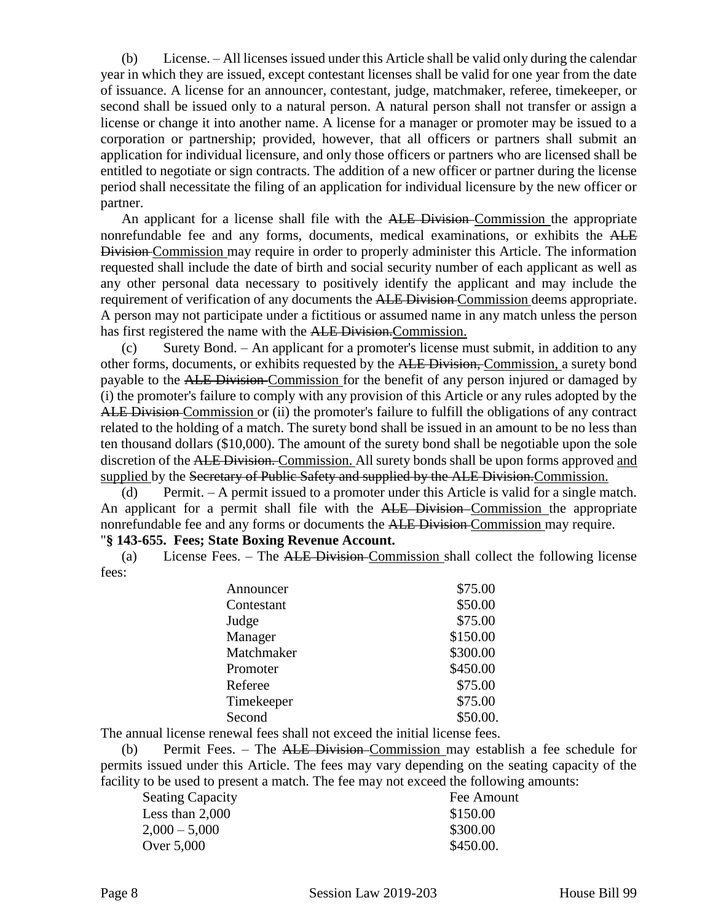(b) License. – All licenses issued under this Article shall be valid only during the calendar year in which they are issued, except contestant licenses shall be valid for one year from the date of issuance. A license for an announcer, contestant, judge, matchmaker, referee, timekeeper, or second shall be issued only to a natural person. A natural person shall not transfer or assign a license or change it into another name. A license for a manager or promoter may be issued to a corporation or partnership; provided, however, that all officers or partners shall submit an application for individual licensure, and only those officers or partners who are licensed shall be entitled to negotiate or sign contracts. The addition of a new officer or partner during the license period shall necessitate the filing of an application for individual licensure by the new officer or partner.

An applicant for a license shall file with the ALE Division–Commission the appropriate nonrefundable fee and any forms, documents, medical examinations, or exhibits the ALE Division Commission may require in order to properly administer this Article. The information requested shall include the date of birth and social security number of each applicant as well as any other personal data necessary to positively identify the applicant and may include the requirement of verification of any documents the ALE Division-Commission deems appropriate. A person may not participate under a fictitious or assumed name in any match unless the person has first registered the name with the ALE Division. Commission.

(c) Surety Bond. – An applicant for a promoter's license must submit, in addition to any other forms, documents, or exhibits requested by the ALE Division, Commission, a surety bond payable to the ALE Division Commission for the benefit of any person injured or damaged by (i) the promoter's failure to comply with any provision of this Article or any rules adopted by the ALE Division Commission or (ii) the promoter's failure to fulfill the obligations of any contract related to the holding of a match. The surety bond shall be issued in an amount to be no less than ten thousand dollars (\$10,000). The amount of the surety bond shall be negotiable upon the sole discretion of the ALE Division. Commission. All surety bonds shall be upon forms approved and supplied by the Secretary of Public Safety and supplied by the ALE Division. Commission.

(d) Permit. – A permit issued to a promoter under this Article is valid for a single match. An applicant for a permit shall file with the ALE Division Commission the appropriate nonrefundable fee and any forms or documents the ALE Division Commission may require. "**§ 143-655. Fees; State Boxing Revenue Account.**

(a) License Fees. – The ALE Division Commission shall collect the following license fees:

| Announcer  | \$75.00  |
|------------|----------|
| Contestant | \$50.00  |
| Judge      | \$75.00  |
| Manager    | \$150.00 |
| Matchmaker | \$300.00 |
| Promoter   | \$450.00 |
| Referee    | \$75.00  |
| Timekeeper | \$75.00  |
| Second     | \$50.00. |

The annual license renewal fees shall not exceed the initial license fees.

(b) Permit Fees. – The ALE Division Commission may establish a fee schedule for permits issued under this Article. The fees may vary depending on the seating capacity of the facility to be used to present a match. The fee may not exceed the following amounts:

| <b>Seating Capacity</b> | Fee Amount |
|-------------------------|------------|
| Less than 2,000         | \$150.00   |
| $2,000 - 5,000$         | \$300.00   |
| Over 5,000              | \$450.00.  |
|                         |            |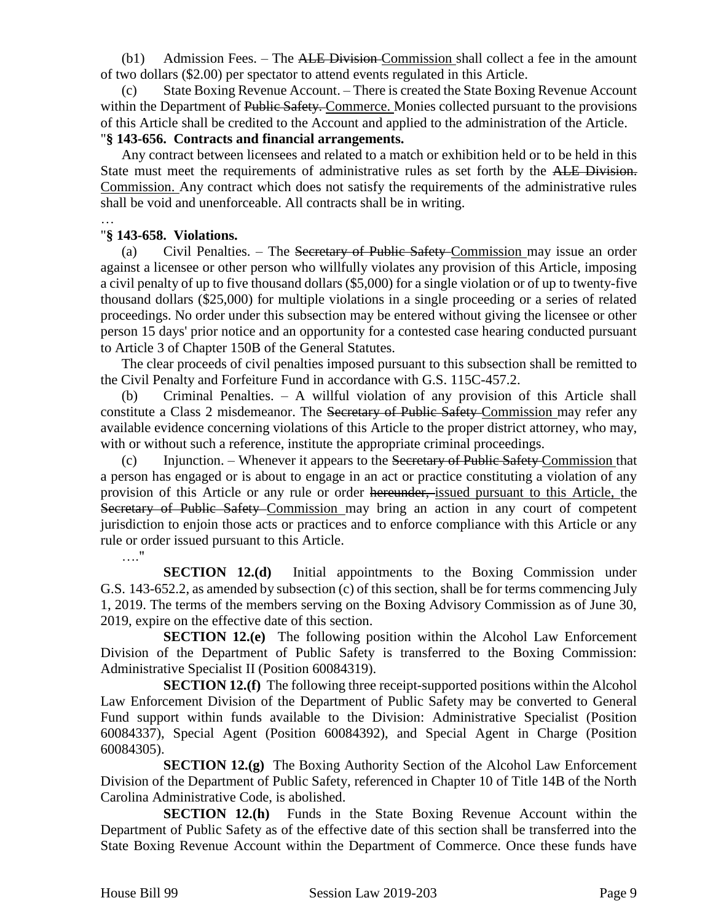(b1) Admission Fees. – The ALE Division Commission shall collect a fee in the amount of two dollars (\$2.00) per spectator to attend events regulated in this Article.

State Boxing Revenue Account. – There is created the State Boxing Revenue Account within the Department of Public Safety. Commerce. Monies collected pursuant to the provisions of this Article shall be credited to the Account and applied to the administration of the Article.

### "**§ 143-656. Contracts and financial arrangements.**

Any contract between licensees and related to a match or exhibition held or to be held in this State must meet the requirements of administrative rules as set forth by the ALE Division. Commission. Any contract which does not satisfy the requirements of the administrative rules shall be void and unenforceable. All contracts shall be in writing.

…

### "**§ 143-658. Violations.**

(a) Civil Penalties. – The Secretary of Public Safety Commission may issue an order against a licensee or other person who willfully violates any provision of this Article, imposing a civil penalty of up to five thousand dollars (\$5,000) for a single violation or of up to twenty-five thousand dollars (\$25,000) for multiple violations in a single proceeding or a series of related proceedings. No order under this subsection may be entered without giving the licensee or other person 15 days' prior notice and an opportunity for a contested case hearing conducted pursuant to Article 3 of Chapter 150B of the General Statutes.

The clear proceeds of civil penalties imposed pursuant to this subsection shall be remitted to the Civil Penalty and Forfeiture Fund in accordance with G.S. 115C-457.2.

(b) Criminal Penalties. – A willful violation of any provision of this Article shall constitute a Class 2 misdemeanor. The Secretary of Public Safety Commission may refer any available evidence concerning violations of this Article to the proper district attorney, who may, with or without such a reference, institute the appropriate criminal proceedings.

 $(c)$  Injunction. – Whenever it appears to the Secretary of Public Safety Commission that a person has engaged or is about to engage in an act or practice constituting a violation of any provision of this Article or any rule or order hereunder, issued pursuant to this Article, the Secretary of Public Safety Commission may bring an action in any court of competent jurisdiction to enjoin those acts or practices and to enforce compliance with this Article or any rule or order issued pursuant to this Article.

…."

**SECTION 12.(d)** Initial appointments to the Boxing Commission under G.S. 143-652.2, as amended by subsection (c) of this section, shall be for terms commencing July 1, 2019. The terms of the members serving on the Boxing Advisory Commission as of June 30, 2019, expire on the effective date of this section.

**SECTION 12.(e)** The following position within the Alcohol Law Enforcement Division of the Department of Public Safety is transferred to the Boxing Commission: Administrative Specialist II (Position 60084319).

**SECTION 12.(f)** The following three receipt-supported positions within the Alcohol Law Enforcement Division of the Department of Public Safety may be converted to General Fund support within funds available to the Division: Administrative Specialist (Position 60084337), Special Agent (Position 60084392), and Special Agent in Charge (Position 60084305).

**SECTION 12.(g)** The Boxing Authority Section of the Alcohol Law Enforcement Division of the Department of Public Safety, referenced in Chapter 10 of Title 14B of the North Carolina Administrative Code, is abolished.

**SECTION 12.(h)** Funds in the State Boxing Revenue Account within the Department of Public Safety as of the effective date of this section shall be transferred into the State Boxing Revenue Account within the Department of Commerce. Once these funds have